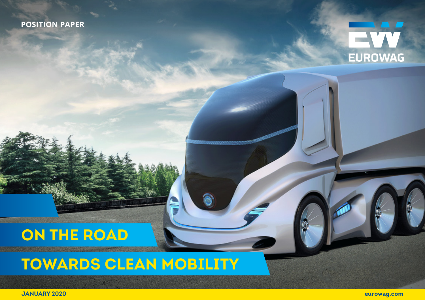### **POSITION PAPER**



# **ON THE ROAD**

**TOWARDS CLEAN MOBILITY**

**JANUARY 2020**

**1 eurowag.com**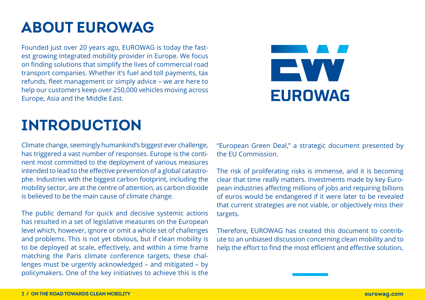# **ABOUT EUROWAG**

Founded just over 20 years ago, EUROWAG is today the fastest growing integrated mobility provider in Europe. We focus on finding solutions that simplify the lives of commercial road transport companies. Whether it's fuel and toll payments, tax refunds, fleet management or simply advice – we are here to help our customers keep over 250,000 vehicles moving across Europe, Asia and the Middle East.



# **INTRODUCTION**

Climate change, seemingly humankind's biggest ever challenge, has triggered a vast number of responses. Europe is the continent most committed to the deployment of various measures intended to lead to the effective prevention of a global catastrophe. Industries with the biggest carbon footprint, including the mobility sector, are at the centre of attention, as carbon dioxide is believed to be the main cause of climate change.

The public demand for quick and decisive systemic actions has resulted in a set of legislative measures on the European level which, however, ignore or omit a whole set of challenges and problems. This is not yet obvious, but if clean mobility is to be deployed at scale, effectively, and within a time frame matching the Paris climate conference targets, these challenges must be urgently acknowledged – and mitigated – by policymakers. One of the key initiatives to achieve this is the

"European Green Deal," a strategic document presented by the EU Commission.

The risk of proliferating risks is immense, and it is becoming clear that time really matters. Investments made by key European industries affecting millions of jobs and requiring billions of euros would be endangered if it were later to be revealed that current strategies are not viable, or objectively miss their targets.

Therefore, EUROWAG has created this document to contribute to an unbiased discussion concerning clean mobility and to help the effort to find the most efficient and effective solution**.**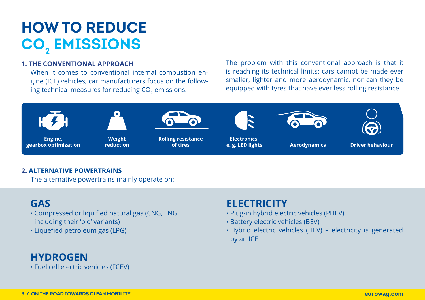# **HOW TO REDUCE CO2 EMISSIONS**

#### **1. THE CONVENTIONAL APPROACH**

When it comes to conventional internal combustion engine (ICE) vehicles, car manufacturers focus on the following technical measures for reducing CO<sub>2</sub> emissions.

The problem with this conventional approach is that it is reaching its technical limits: cars cannot be made ever smaller, lighter and more aerodynamic, nor can they be equipped with tyres that have ever less rolling resistance.



#### **2. ALTERNATIVE POWERTRAINS**

The alternative powertrains mainly operate on:

### **GAS**

- Compressed or liquified natural gas (CNG, LNG, including their 'bio' variants)
- Liquefied petroleum gas (LPG)

### **HYDROGEN**

• Fuel cell electric vehicles (FCEV)

### **ELECTRICITY**

- Plug-in hybrid electric vehicles (PHEV)
- Battery electric vehicles (BEV)
- Hybrid electric vehicles (HEV) electricity is generated by an ICE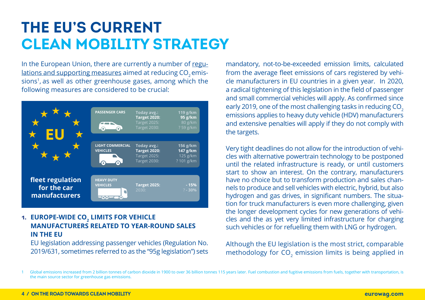## **THE EU'S CURRENT CLEAN MOBILITY STRATEGY**

In the European Union, there are currently a number of regulations and supporting measures aimed at reducing CO<sub>2</sub> emissions<sup>1</sup>, as well as other greenhouse gases, among which the following measures are considered to be crucial:



#### 1. EUROPE-WIDE CO<sub>2</sub> LIMITS FOR VEHICLE **MANUFACTURERS RELATED TO YEAR-ROUND SALES IN THE EU**

EU legislation addressing passenger vehicles (Regulation No. 2019/631, sometimes referred to as the "95g legislation") sets

mandatory, not-to-be-exceeded emission limits, calculated from the average fleet emissions of cars registered by vehicle manufacturers in EU countries in a given year. In 2020, a radical tightening of this legislation in the field of passenger and small commercial vehicles will apply. As confirmed since early 2019, one of the most challenging tasks in reducing CO<sub>2</sub> emissions applies to heavy duty vehicle (HDV) manufacturers and extensive penalties will apply if they do not comply with the targets.

Very tight deadlines do not allow for the introduction of vehicles with alternative powertrain technology to be postponed until the related infrastructure is ready, or until customers start to show an interest. On the contrary, manufacturers have no choice but to transform production and sales channels to produce and sell vehicles with electric, hybrid, but also hydrogen and gas drives, in significant numbers. The situation for truck manufacturers is even more challenging, given the longer development cycles for new generations of vehicles and the as yet very limited infrastructure for charging such vehicles or for refuelling them with LNG or hydrogen.

Although the EU legislation is the most strict, comparable methodology for CO<sub>2</sub> emission limits is being applied in

Global emissions increased from 2 billion tonnes of carbon dioxide in 1900 to over 36 billion tonnes 115 years later. Fuel combustion and fugitive emissions from fuels, together with transportation, is the main source sector for greenhouse gas emissions.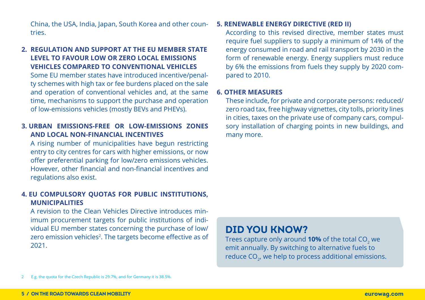China, the USA, India, Japan, South Korea and other countries.

#### **2. REGULATION AND SUPPORT AT THE EU MEMBER STATE LEVEL TO FAVOUR LOW OR ZERO LOCAL EMISSIONS VEHICLES COMPARED TO CONVENTIONAL VEHICLES**

Some EU member states have introduced incentive/penalty schemes with high tax or fee burdens placed on the sale and operation of conventional vehicles and, at the same time, mechanisms to support the purchase and operation of low-emissions vehicles (mostly BEVs and PHEVs).

#### **3. URBAN EMISSIONS-FREE OR LOW-EMISSIONS ZONES AND LOCAL NON-FINANCIAL INCENTIVES**

A rising number of municipalities have begun restricting entry to city centres for cars with higher emissions, or now offer preferential parking for low/zero emissions vehicles. However, other financial and non-financial incentives and regulations also exist.

#### **4. EU COMPULSORY QUOTAS FOR PUBLIC INSTITUTIONS, MUNICIPALITIES**

A revision to the Clean Vehicles Directive introduces minimum procurement targets for public institutions of individual EU member states concerning the purchase of low/ zero emission vehicles<sup>2</sup>. The targets become effective as of 2021.

#### **5. RENEWABLE ENERGY DIRECTIVE (RED II)**

According to this revised directive, member states must require fuel suppliers to supply a minimum of 14% of the energy consumed in road and rail transport by 2030 in the form of renewable energy. Energy suppliers must reduce by 6% the emissions from fuels they supply by 2020 compared to 2010.

#### **6. OTHER MEASURES**

These include, for private and corporate persons: reduced/ zero road tax, free highway vignettes, city tolls, priority lines in cities, taxes on the private use of company cars, compulsory installation of charging points in new buildings, and many more.

### **DID YOU KNOW?**

Trees capture only around **10%** of the total CO<sub>2</sub> we emit annually. By switching to alternative fuels to reduce CO<sub>2</sub>, we help to process additional emissions.

2 E.g. the quota for the Czech Republic is 29.7%, and for Germany it is 38.5%.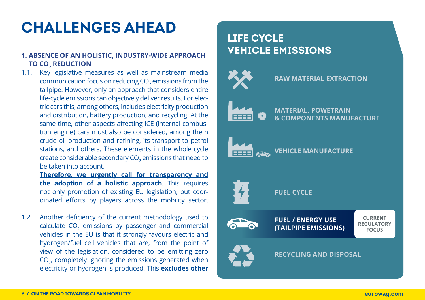# **CHALLENGES AHEAD**

#### **1. ABSENCE OF AN HOLISTIC, INDUSTRY-WIDE APPROACH TO CO2 REDUCTION**

1.1. Key legislative measures as well as mainstream media communication focus on reducing CO $_2$  emissions from the tailpipe. However, only an approach that considers entire life-cycle emissions can objectively deliver results. For electric cars this, among others, includes electricity production and distribution, battery production, and recycling. At the same time, other aspects affecting ICE (internal combustion engine) cars must also be considered, among them crude oil production and refining, its transport to petrol stations, and others. These elements in the whole cycle create considerable secondary CO $_2$  emissions that need to be taken into account.

**Therefore, we urgently call for transparency and the adoption of a holistic approach**. This requires not only promotion of existing EU legislation, but coordinated efforts by players across the mobility sector.

1.2. Another deficiency of the current methodology used to calculate  $\mathsf{CO}_2$  emissions by passenger and commercial vehicles in the EU is that it strongly favours electric and hydrogen/fuel cell vehicles that are, from the point of view of the legislation, considered to be emitting zero  $CO_{2}$ , completely ignoring the emissions generated when electricity or hydrogen is produced. This **excludes other** 

### **LIFE CYCLE VEHICLE EMISSIONS**

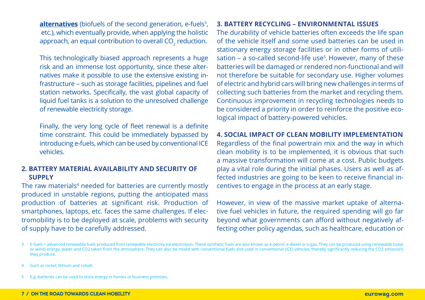**<u>alternatives</u>** (biofuels of the second generation, e-fuels<sup>3</sup>, etc.), which eventually provide, when applying the holistic approach, an equal contribution to overall CO $_{\textrm{\tiny{2}}}$  reduction.

This technologically biased approach represents a huge risk and an immense lost opportunity, since these alternatives make it possible to use the extensive existing infrastructure – such as storage facilities, pipelines and fuel station networks. Specifically, the vast global capacity of liquid fuel tanks is a solution to the unresolved challenge of renewable electricity storage.

Finally, the very long cycle of fleet renewal is a definite time constraint. This could be immediately bypassed by introducing e-fuels, which can be used by conventional ICE vehicles.

#### **2. BATTERY MATERIAL AVAILABILITY AND SECURITY OF SUPPLY**

The raw materials<sup>4</sup> needed for batteries are currently mostly produced in unstable regions, putting the anticipated mass production of batteries at significant risk. Production of smartphones, laptops, etc. faces the same challenges. If electromobility is to be deployed at scale, problems with security of supply have to be carefully addressed.

#### **3. BATTERY RECYCLING – ENVIRONMENTAL ISSUES**

The durability of vehicle batteries often exceeds the life span of the vehicle itself and some used batteries can be used in stationary energy storage facilities or in other forms of utilisation – a so-called second-life use<sup>5</sup>. However, many of these batteries will be damaged or rendered non-functional and will not therefore be suitable for secondary use. Higher volumes of electric and hybrid cars will bring new challenges in terms of collecting such batteries from the market and recycling them. Continuous improvement in recycling technologies needs to be considered a priority in order to reinforce the positive ecological impact of battery-powered vehicles.

#### **4. SOCIAL IMPACT OF CLEAN MOBILITY IMPLEMENTATION**

Regardless of the final powertrain mix and the way in which clean mobility is to be implemented, it is obvious that such a massive transformation will come at a cost. Public budgets play a vital role during the initial phases. Users as well as affected industries are going to be keen to receive financial incentives to engage in the process at an early stage.

However, in view of the massive market uptake of alternative fuel vehicles in future, the required spending will go far beyond what governments can afford without negatively affecting other policy agendas, such as healthcare, education or

<sup>3</sup> E-fuels = advanced renewable fuels produced from renewable electricity via electrolysis. These synthetic fuels are also known as e-petrol, e-diesel or e-gas. They can be produced using renewable (solar or wind) energy, water and CO2 taken from the atmosphere. They can also be mixed with conventional fuels and used in conventional (ICE) vehicles, thereby significantly reducing the CO2 emissions they produce.

Such as nickel, lithium and cobalt.

<sup>5</sup> E.g. batteries can be used to store energy in homes or business premises.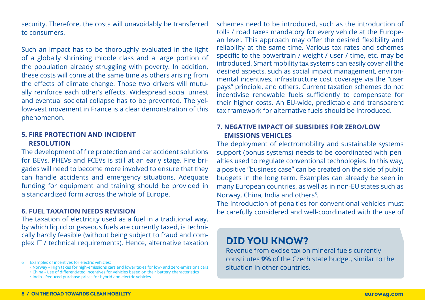security. Therefore, the costs will unavoidably be transferred to consumers.

Such an impact has to be thoroughly evaluated in the light of a globally shrinking middle class and a large portion of the population already struggling with poverty. In addition, these costs will come at the same time as others arising from the effects of climate change. Those two drivers will mutually reinforce each other's effects. Widespread social unrest and eventual societal collapse has to be prevented. The yellow-vest movement in France is a clear demonstration of this phenomenon.

#### **5. FIRE PROTECTION AND INCIDENT RESOLUTION**

The development of fire protection and car accident solutions for BEVs, PHEVs and FCEVs is still at an early stage. Fire brigades will need to become more involved to ensure that they can handle accidents and emergency situations. Adequate funding for equipment and training should be provided in a standardized form across the whole of Europe.

#### **6. FUEL TAXATION NEEDS REVISION**

The taxation of electricity used as a fuel in a traditional way, by which liquid or gaseous fuels are currently taxed, is technically hardly feasible (without being subject to fraud and complex IT / technical requirements). Hence, alternative taxation schemes need to be introduced, such as the introduction of tolls / road taxes mandatory for every vehicle at the European level. This approach may offer the desired flexibility and reliability at the same time. Various tax rates and schemes specific to the powertrain / weight / user / time, etc. may be introduced. Smart mobility tax systems can easily cover all the desired aspects, such as social impact management, environmental incentives, infrastructure cost coverage via the "user pays" principle, and others. Current taxation schemes do not incentivise renewable fuels sufficiently to compensate for their higher costs. An EU-wide, predictable and transparent tax framework for alternative fuels should be introduced.

#### **7. NEGATIVE IMPACT OF SUBSIDIES FOR ZERO/LOW EMISSIONS VEHICLES**

The deployment of electromobility and sustainable systems support (bonus systems) needs to be coordinated with penalties used to regulate conventional technologies. In this way, a positive "business case" can be created on the side of public budgets in the long term. Examples can already be seen in many European countries, as well as in non-EU states such as Norway, China, India and others<sup>6</sup>.

The introduction of penalties for conventional vehicles must be carefully considered and well-coordinated with the use of

### **DID YOU KNOW?**

Revenue from excise tax on mineral fuels currently constitutes **9%** of the Czech state budget, similar to the situation in other countries.

<sup>6</sup> Examples of incentives for electric vehicles:

<sup>•</sup> Norway – High taxes for high-emissions cars and lower taxes for low- and zero-emissions cars

<sup>•</sup> China - Use of differentiated incentives for vehicles based on their battery characteristics

<sup>•</sup> India - Reduced purchase prices for hybrid and electric vehicles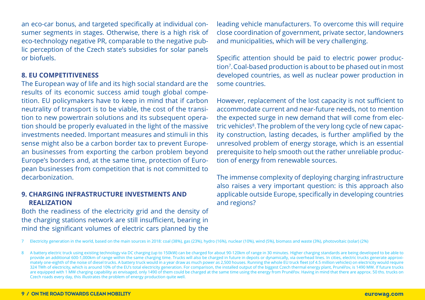an eco-car bonus, and targeted specifically at individual consumer segments in stages. Otherwise, there is a high risk of eco-technology negative PR, comparable to the negative public perception of the Czech state's subsidies for solar panels or biofuels.

#### **8. EU COMPETITIVENESS**

The European way of life and its high social standard are the results of its economic success amid tough global competition. EU policymakers have to keep in mind that if carbon neutrality of transport is to be viable, the cost of the transition to new powertrain solutions and its subsequent operation should be properly evaluated in the light of the massive investments needed. Important measures and stimuli in this sense might also be a carbon border tax to prevent European businesses from exporting the carbon problem beyond Europe's borders and, at the same time, protection of European businesses from competition that is not committed to decarbonization.

#### **9. CHARGING INFRASTRUCTURE INVESTMENTS AND REALIZATION**

Both the readiness of the electricity grid and the density of the charging stations network are still insufficient, bearing in mind the significant volumes of electric cars planned by the

leading vehicle manufacturers. To overcome this will require close coordination of government, private sector, landowners and municipalities, which will be very challenging.

Specific attention should be paid to electric power production<sup>7</sup>.Coal-based production is about to be phased out in most developed countries, as well as nuclear power production in some countries.

However, replacement of the lost capacity is not sufficient to accommodate current and near-future needs, not to mention the expected surge in new demand that will come from electric vehicles<sup>8</sup>. The problem of the very long cycle of new capacity construction, lasting decades, is further amplified by the unresolved problem of energy storage, which is an essential prerequisite to help smooth out the rather unreliable production of energy from renewable sources.

The immense complexity of deploying charging infrastructure also raises a very important question: is this approach also applicable outside Europe, specifically in developing countries and regions?

7 Electricity generation in the world, based on the main sources in 2018: coal (38%), gas (23%), hydro (16%), nuclear (10%), wind (5%), biomass and waste (3%), photovoltaic (solar) (2%)

<sup>8</sup> A battery electric truck using existing technology via DC charging (up to 150kW) can be charged for about 90-120km of range in 30 minutes. Higher charging standards are being developed to be able to provide an additional 600-1,000km of range within the same charging time. Trucks will also be charged in future in depots or dynamically, via overhead lines. In cities, electric trucks generate approximately one-eighth of the noise of diesel trucks. A battery truck would in a year draw as much power as 2,500 houses. Running the whole EU truck fleet (of 4.5 million vehicles) on electricity would require 324 TWh of electricity, which is around 10% of the EU's total electricity generation. For comparison, the installed output of the biggest Czech thermal energy plant, Prunéřov, is 1490 MW. If future trucks are equipped with 1 MW charging capability as envisaged, only 1490 of them could be charged at the same time using the energy from Prunéřov. Having in mind that there are approx. 50 ths. trucks on Czech roads every day, this illustrates the problem of energy production quite well.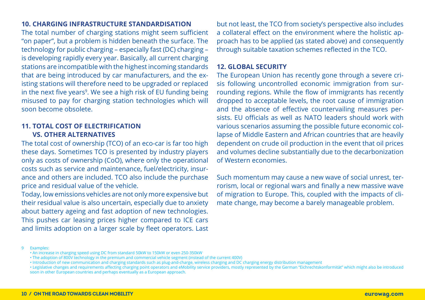#### **10. CHARGING INFRASTRUCTURE STANDARDISATION**

The total number of charging stations might seem sufficient "on paper", but a problem is hidden beneath the surface. The technology for public charging – especially fast (DC) charging – is developing rapidly every year. Basically, all current charging stations are incompatible with the highest incoming standards that are being introduced by car manufacturers, and the existing stations will therefore need to be upgraded or replaced in the next five years<sup>9</sup>. We see a high risk of EU funding being misused to pay for charging station technologies which will soon become obsolete.

#### **11. TOTAL COST OF ELECTRIFICATION VS. OTHER ALTERNATIVES**

The total cost of ownership (TCO) of an eco-car is far too high these days. Sometimes TCO is presented by industry players only as costs of ownership (CoO), where only the operational costs such as service and maintenance, fuel/electricity, insurance and others are included. TCO also include the purchase price and residual value of the vehicle.

Today, low emissions vehicles are not only more expensive but their residual value is also uncertain, especially due to anxiety about battery ageing and fast adoption of new technologies. This pushes car leasing prices higher compared to ICE cars and limits adoption on a larger scale by fleet operators. Last but not least, the TCO from society's perspective also includes a collateral effect on the environment where the holistic approach has to be applied (as stated above) and consequently through suitable taxation schemes reflected in the TCO.

#### **12. GLOBAL SECURITY**

The European Union has recently gone through a severe crisis following uncontrolled economic immigration from surrounding regions. While the flow of immigrants has recently dropped to acceptable levels, the root cause of immigration and the absence of effective countervailing measures persists. EU officials as well as NATO leaders should work with various scenarios assuming the possible future economic collapse of Middle Eastern and African countries that are heavily dependent on crude oil production in the event that oil prices and volumes decline substantially due to the decarbonization of Western economies.

Such momentum may cause a new wave of social unrest, terrorism, local or regional wars and finally a new massive wave of migration to Europe. This, coupled with the impacts of climate change, may become a barely manageable problem.

<sup>9</sup> Examples:

<sup>•</sup> An increase in charging speed using DC from standard 50kW to 150kW or even 250-350kW

<sup>•</sup> The adoption of 800V technology in the premium and commercial vehicle segment (instead of the current 400V)

<sup>•</sup> Introduction of new communication and charging standards such as plug-and-charge, wireless charging and DC charging energy distribution management

<sup>•</sup> Legislative changes and requirements affecting charging point operators and eMobility service providers, mostly represented by the German "Eichrechtskonformität" which might also be introduced soon in other European countries and perhaps eventually as a European approach.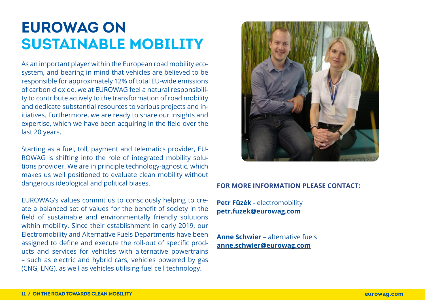### **EUROWAG ON SUSTAINABLE MOBILITY**

As an important player within the European road mobility ecosystem, and bearing in mind that vehicles are believed to be responsible for approximately 12% of total EU-wide emissions of carbon dioxide, we at EUROWAG feel a natural responsibility to contribute actively to the transformation of road mobility and dedicate substantial resources to various projects and initiatives. Furthermore, we are ready to share our insights and expertise, which we have been acquiring in the field over the last 20 years.

Starting as a fuel, toll, payment and telematics provider, EU-ROWAG is shifting into the role of integrated mobility solutions provider. We are in principle technology-agnostic, which makes us well positioned to evaluate clean mobility without dangerous ideological and political biases.

EUROWAG's values commit us to consciously helping to create a balanced set of values for the benefit of society in the field of sustainable and environmentally friendly solutions within mobility. Since their establishment in early 2019, our Electromobility and Alternative Fuels Departments have been assigned to define and execute the roll-out of specific products and services for vehicles with alternative powertrains – such as electric and hybrid cars, vehicles powered by gas (CNG, LNG), as well as vehicles utilising fuel cell technology.



#### **FOR MORE INFORMATION PLEASE CONTACT:**

**Petr Füzék** - electromobility **[petr.fuzek@eurowag.com](mailto:petr.fuzek@eurowag.com)**

**Anne Schwier** – alternative fuels **[anne.schwier@eurowag.com](mailto:anne.schwier@eurowag.com)**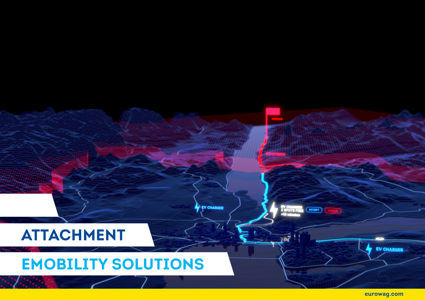

**eurowag.com**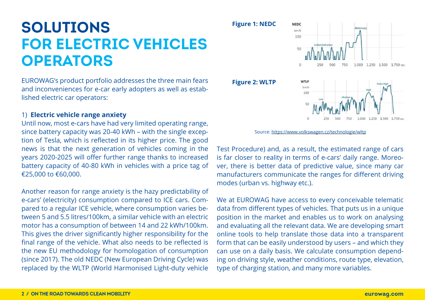## **SOLUTIONS FOR ELECTRIC VEHICLES OPERATORS**

EUROWAG's product portfolio addresses the three main fears and inconveniences for e-car early adopters as well as established electric car operators:

#### 1) **Electric vehicle range anxiety**

Until now, most e-cars have had very limited operating range, since battery capacity was 20-40 kWh – with the single exception of Tesla, which is reflected in its higher price. The good news is that the next generation of vehicles coming in the years 2020-2025 will offer further range thanks to increased battery capacity of 40-80 kWh in vehicles with a price tag of €25,000 to €60,000.

Another reason for range anxiety is the hazy predictability of e-cars' (electricity) consumption compared to ICE cars. Compared to a regular ICE vehicle, where consumption varies between 5 and 5.5 litres/100km, a similar vehicle with an electric motor has a consumption of between 14 and 22 kWh/100km. This gives the driver significantly higher responsibility for the final range of the vehicle. What also needs to be reflected is the new EU methodology for homologation of consumption (since 2017). The old NEDC (New European Driving Cycle) was replaced by the WLTP (World Harmonised Light-duty vehicle

**Figure 1: NEDC**



Source: <https://www.volkswagen.cz/technologie/wltp>

Test Procedure) and, as a result, the estimated range of cars is far closer to reality in terms of e-cars' daily range. Moreover, there is better data of predictive value, since many car manufacturers communicate the ranges for different driving modes (urban vs. highway etc.).

We at EUROWAG have access to every conceivable telematic data from different types of vehicles. That puts us in a unique position in the market and enables us to work on analysing and evaluating all the relevant data. We are developing smart online tools to help translate those data into a transparent form that can be easily understood by users – and which they can use on a daily basis. We calculate consumption depending on driving style, weather conditions, route type, elevation, type of charging station, and many more variables.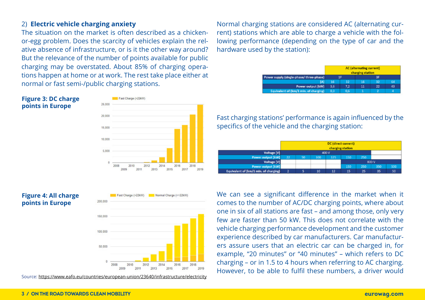#### 2) **Electric vehicle charging anxiety**

The situation on the market is often described as a chickenor-egg problem. Does the scarcity of vehicles explain the relative absence of infrastructure, or is it the other way around? But the relevance of the number of points available for public charging may be overstated. About 85% of charging operations happen at home or at work. The rest take place either at normal or fast semi-/public charging stations.

#### **Figure 3: DC charge points in Europe**



#### **Figure 4: All charge points in Europe**



Normal Charne (<= 22kW

Fast Charge (>22kW)

Source: <https://www.eafo.eu/countries/european-union/23640/infrastructure/electricity>

Normal charging stations are considered AC (alternating current) stations which are able to charge a vehicle with the following performance (depending on the type of car and the hardware used by the station):

| Power supply (single-phase/three-phase) | AC (alternating current)<br>charging station |     |    |    |    |  |  |
|-----------------------------------------|----------------------------------------------|-----|----|----|----|--|--|
|                                         |                                              |     |    |    |    |  |  |
| [A]                                     | 16                                           |     | 16 |    |    |  |  |
| Power output [kW]                       | 3.6                                          | 7.2 |    | 22 | 43 |  |  |
| Equivalent of (km/1 min. of charging)   | 0.3                                          | 0.6 |    |    |    |  |  |

Fast charging stations' performance is again influenced by the specifics of the vehicle and the charging station:

|                                       | DC (direct current)<br>charging station |    |     |     |       |     |     |     |  |  |
|---------------------------------------|-----------------------------------------|----|-----|-----|-------|-----|-----|-----|--|--|
| <b>Voltage [V]</b>                    | 400 V                                   |    |     |     |       |     |     |     |  |  |
| Power output [kW]                     | 22                                      | 50 | 100 | 125 | 150   | 250 |     |     |  |  |
| <b>Voltage [V]</b>                    |                                         |    |     |     | 800 V |     |     |     |  |  |
| Power output [kW]                     |                                         |    |     |     | 150   | 250 | 350 | 500 |  |  |
| Equivalent of (km/1 min. of charging) |                                         |    | 10  | 12  | 15    | 25  | 35  | 50  |  |  |

We can see a significant difference in the market when it comes to the number of AC/DC charging points, where about one in six of all stations are fast – and among those, only very few are faster than 50 kW. This does not correlate with the vehicle charging performance development and the customer experience described by car manufacturers. Car manufacturers assure users that an electric car can be charged in, for example, "20 minutes" or "40 minutes" – which refers to DC charging – or in 1.5 to 4 hours when referring to AC charging. However, to be able to fulfil these numbers, a driver would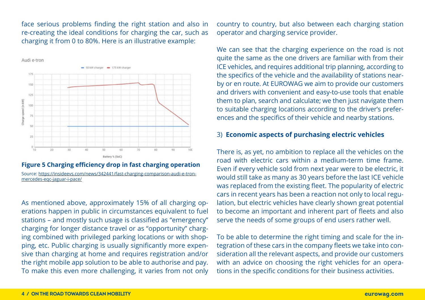face serious problems finding the right station and also in re-creating the ideal conditions for charging the car, such as charging it from 0 to 80%. Here is an illustrative example:



#### **Figure 5 Charging efficiency drop in fast charging operation** Source: [https://insideevs.com/news/342441/fast-charging-comparison-audi-e-tron](https://insideevs.com/news/342441/fast-charging-comparison-audi-e-tron-mercedes-eqc-jaguar-i-pace/)[mercedes-eqc-jaguar-i-pace/](https://insideevs.com/news/342441/fast-charging-comparison-audi-e-tron-mercedes-eqc-jaguar-i-pace/)

As mentioned above, approximately 15% of all charging operations happen in public in circumstances equivalent to fuel stations – and mostly such usage is classified as "emergency" charging for longer distance travel or as "opportunity" charging combined with privileged parking locations or with shopping, etc. Public charging is usually significantly more expensive than charging at home and requires registration and/or the right mobile app solution to be able to authorise and pay. To make this even more challenging, it varies from not only country to country, but also between each charging station operator and charging service provider.

We can see that the charging experience on the road is not quite the same as the one drivers are familiar with from their ICE vehicles, and requires additional trip planning, according to the specifics of the vehicle and the availability of stations nearby or en route. At EUROWAG we aim to provide our customers and drivers with convenient and easy-to-use tools that enable them to plan, search and calculate; we then just navigate them to suitable charging locations according to the driver's preferences and the specifics of their vehicle and nearby stations.

#### 3) **Economic aspects of purchasing electric vehicles**

There is, as yet, no ambition to replace all the vehicles on the road with electric cars within a medium-term time frame. Even if every vehicle sold from next year were to be electric, it would still take as many as 30 years before the last ICE vehicle was replaced from the existing fleet. The popularity of electric cars in recent years has been a reaction not only to local regulation, but electric vehicles have clearly shown great potential to become an important and inherent part of fleets and also serve the needs of some groups of end users rather well.

To be able to determine the right timing and scale for the integration of these cars in the company fleets we take into consideration all the relevant aspects, and provide our customers with an advice on choosing the right vehicles for an operations in the specific conditions for their business activities.